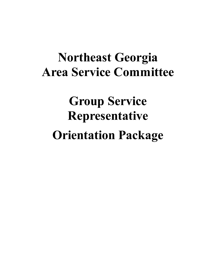# **Northeast Georgia Area Service Committee**

# **Group Service Representative Orientation Package**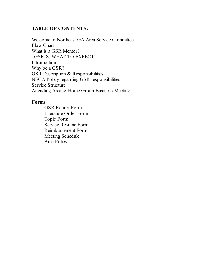# **TABLE OF CONTENTS:**

Welcome to Northeast GA Area Service Committee Flow Chart What is a GSR Mentor? "GSR'S, WHAT TO EXPECT" Introduction Why be a GSR? GSR Description & Responsibilities NEGA Policy regarding GSR responsibilities: Service Structure Attending Area & Home Group Business Meeting

# **Forms**

GSR Report Form Literature Order Form Topic Form Service Resume Form Reimbursement Form Meeting Schedule Area Policy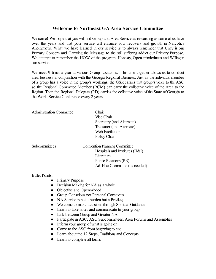# **Welcome to Northeast GA Area Service Committee**

Welcome! We hope that you will find Group and Area Service as rewarding as some of us have over the years and that your service will enhance your recovery and growth in Narcotics Anonymous. What we have learned in our service is to always remember that Unity is our Primary Concern and Carrying the Message to the still suffering addict our Primary Purpose. We attempt to remember the HOW of the program, Honesty, Open-mindedness and Willing in our service.

We meet 9 times a year at various Group Locations. This time together allows us to conduct area business in conjunction with the Georgia Regional Business. Just as the individual member of a group has a voice in the group's workings, the GSR carries that group's voice to the ASC so the Regional Committee Member (RCM) can carry the collective voice of the Area to the Region. Then the Regional Delegate (RD) carries the collective voice of the State of Georgia to the World Service Conference every 2 years.

| <b>Administration Committee</b> | Chair<br>Vice Chair<br>Secretary (and Alternate)<br>Treasurer (and Alternate)<br>Web Facilitator<br>Policy Chair |
|---------------------------------|------------------------------------------------------------------------------------------------------------------|
| Subcommittees                   | <b>Convention Planning Committee</b>                                                                             |
|                                 | Hospitals and Institutes (H&I)<br>Literature<br>Public Relations (PR)<br>Ad-Hoc Committee (as needed)            |

#### Bullet Points:

- Primary Purpose
- Decision Making for NA as a whole
- Objective and Openminded
- Group Conscious not Personal Conscious
- NA Service is not a burden but a Privilege
- We come to make decisions through Spiritual Guidance
- Learn to take notes and communicate to your group
- Link between Group and Greater NA
- Participate in ASC, ASC Subcommittees, Area Forums and Assemblies
- Inform your group of what is going on
- Come to the ASC from beginning to end
- Learn about the 12 Steps, Traditions and Concepts
- **●** Learn to complete all forms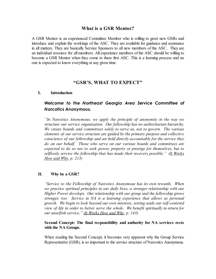## **What is a GSR Mentor?**

A GSR Mentor is an experienced Committee Member who is willing to greet new GSRs and introduce and explain the workings of the ASC. They are available for guidance and assistance in all matters. They are basically Service Sponsors to all new members of the ASC. They are an individual resource for all members. All experience members of the ASC should be willing to become a GSR Mentor when they come to there first ASC. This is a learning process and no one is expected to know everything at any given time.

## **"GSR'S, WHAT TO EXPECT"**

#### **I. Introduction**

# *Welcome to the Northeast Georgia Area Service Committee of Narcotics Anonymous.*

*"In Narcotics Anonymous, we apply the principle of anonymity in the way we structure our service organization. Our fellowship has no authoritarian hierarchy. We create boards and committees solely to serve us, not to govern. The various elements of our service structure are guided by the primary purpose and collective conscience of our fellowship and are held directly accountable for the service they do on our behalf. Those who serve on our various boards and committees are expected to do so not to seek power, property or prestige for themselves, but to selflessly service the fellowship that has made their recovery possible." (It Works How and Why, p. 213)*

#### **II. Why be a GSR?**

*"Service to the Fellowship of Narcotics Anonymous has its own rewards. When we practice spiritual principles in our daily lives, a stronger relationship with our Higher Power develops. Our relationship with our group and the fellowship grows stronger, too. Service in NA is a learning experience that allows us personal growth. We begin to look beyond our own interests, setting aside our self-centered view of life in order to better serve the whole. We benefit spiritually in return for our unselfish service." (It Works How and Why, p. 143)*

#### **Second Concept: The final responsibility and authority for NA services rests with the NA Groups.**

When reading the Second Concept, it becomes very apparent why the Group Service Representative (GSR), is so important to the service structure of Narcotics Anonymous.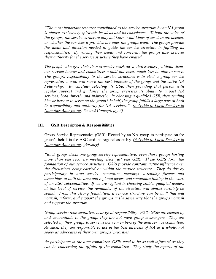*"The most important resource contributed to the service structure by an NA group is almost exclusively spiritual: its ideas and its conscience. Without the voice of the groups, the service structure may not know what kinds of services are needed, or whether the services it provides are ones the groups want. The groups provide the ideas and direction needed to guide the service structure in fulfilling its responsibilities. By voicing their needs and concerns, the groups also exercise their authority for the service structure they have created.*

*The people who give their time to service work are a vital resource; without them, our service boards and committees would not exist, much less be able to serve. The group's responsibility to the service structures is to elect a group service representative who will serve the best interests of the group and the entire NA Fellowship. By carefully selecting its GSR, then providing that person with regular support and guidance, the group exercises its ability to impact NA services, both directly and indirectly. In choosing a qualified GSR, then sending him or her out to serve on the group's behalf, the group fulfills a large part of both its responsibility and authority for NA services." (A Guide to Local Services in Narcotics Anonymous, Second Concept, pg. 3)*

#### **III. GSR Description & Responsibilities**

Group Service Representative (GSR): Elected by an NA group to participate on the group's behalf in the ASC and the regional assembly. *(A Guide to Local Services in Narcotics Anonymous, glossary)*

*"Each group elects one group service representative; even those groups hosting more than one recovery meeting elect just one GSR. These GSRs form the foundation of our service structure. GSRs provide constant, active influence over the discussions being carried on within the service structure. They do this by participating in area service committee meetings, attending forums and assemblies at both the area and regional levels, and sometimes joining in the work of an ASC subcommittee. If we are vigilant in choosing stable, qualified leaders at this level of service, the remainder of the structure will almost certainly be sound. From this strong foundation, a service structure can be built that will nourish, inform, and support the groups in the same way that the groups nourish and support the structure.*

*Group service representatives bear great responsibility. While GSRs are elected by and accountable to the group, they are not mere group messengers. They are selected by their groups to serve as active members of the area service committee. As such, they are responsible to act in the best interests of NA as a whole, not solely as advocates of their own groups' priorities.*

*As participants in the area committee, GSRs need to be as well informed as they can be concerning the affairs of the committee. They study the reports of the*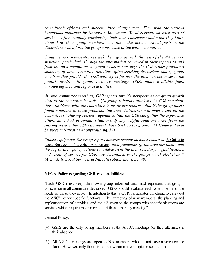*committee's officers and subcommittee chairpersons. They read the various handbooks published by Narcotics Anonymous World Services on each area of service. After carefully considering their own conscience and what they know about how their group members feel, they take active, critical parts in the discussions which form the group conscience of the entire committee.*

*Group service representatives link their groups with the rest of the NA service structure, particularly through the information conveyed in their reports to and from the area committee. At group business meetings, the GSR report provides a summary of area committee activities, often sparking discussions among group members that provide the GSR with a feel for how the area can better serve the group's needs. In group recovery meetings, GSRs make available fliers announcing area and regional activities.*

*At area committee meetings, GSR reports provide perspectives on group growth vital to the committee's work. If a group is having problems, its GSR can share those problems with the committee in his or her reports. And if the group hasn't found solutions to those problems, the area chairperson will open a slot on the committee's "sharing session" agenda so that the GSR can gather the experience others have had in similar situations. If any helpful solutions arise form the sharing session, the GSR can report those back to the group." (A Guide to Local Services in Narcotics Anonymous, pg. 37)*

*"Basic equipment for group representatives usually includes copies of* A Guide to Local Services in Narcotics Anonymous*, area guidelines (if the area has them), and the log of area policy actions (available from the area secretary). Qualifications and terms of service for GSRs are determined by the groups which elect them." (A Guide to Local Services in Narcotics Anonymous, pg. 49)*

#### **NEGA Policy regarding GSR responsibilities:**

"Each GSR must keep their own group informed and must represent that group's conscience in all committee decisions. GSRs should evaluate each vote in terms of the needs of those they serve. In addition to this, a GSR participates in helping to carry out the ASC's other specific functions. The attracting of new members, the planning and implementation of activities, and the aid given to the groups with specific situations are services which require much more effort than a monthly meeting."

General Policy:

- (4) GSRs are the only voting members at the A.S.C. meetings (or their alternates in their absence).
- (5) All A.S.C. Meetings are open to NA members who do not have a voice on the floor. However, only those listed below can make a topic or second one.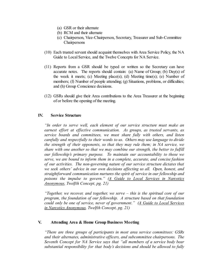- (a) GSR or their alternate
- (b) RCM and their alternate
- (c) Chairperson, Vice-Chairperson, Secretary, Treasurer and Sub-Committee Chairpersons
- (10) Each trusted servant should acquaint themselves with Area Service Policy, the NA Guide to Local Service, and the Twelve Concepts for NA Service.
- (11) Reports from a GSR should be typed or written so the Secretary can have accurate notes. The reports should contain: (a) Name of Group; (b) Day(s) of the week it meets; (c) Meeting place(s); (d) Meeting time(s); (e) Number of members; (f) Number of people attending; (g) Situations, problems, or difficulties; and (h) Group Conscience decisions.
- (12) GSRs should give their Area contributions to the Area Treasurer at the beginning of or before the opening of the meeting.

#### **IV. Service Structure**

*"In order to serve well, each element of our service structure must make an earnest ef ort at ef ective communication. As groups, as trusted servants, as service boards and committees, we must share fully with others, and listen carefully and respectfully to their words to us. Others may use language to divide the strength of their opponents, so that they may rule them; in NA service, we share with one another so that we may combine our strength, the better to fulfill our fellowship's primary purpose. To maintain our accountability to those we serve, we are bound to inform them in a complete, accurate, and concise fashion of our activities. The non-governing nature of our service structure dictates that we seek others' advice in our own decisions affecting us all. Open, honest, and straightforward communication nurtures the spirit of service in our fellowship and poisons the impulse to govern." (A Guide to Local Services in Narcotics Anonymous, Twelfth Concept, pg. 21)*

*"Together, we recover, and together, we serve – this is the spiritual core of our program, the foundation of our fellowship. A structure based on that foundation could only be one of service, never of government." (A Guide to Local Services in Narcotics Anonymous, Twelfth Concept, pg. 21)*

#### **V. Attending Area & Home Group Business Meeting**

*"There are three groups of participants in most area service committees: GSRs and their alternates, administrative officers, and subcommittee chairpersons. The Seventh Concept for NA Service says that "all members of a service body bear substantial responsibility for that body's decisions and should be allowed to fully*